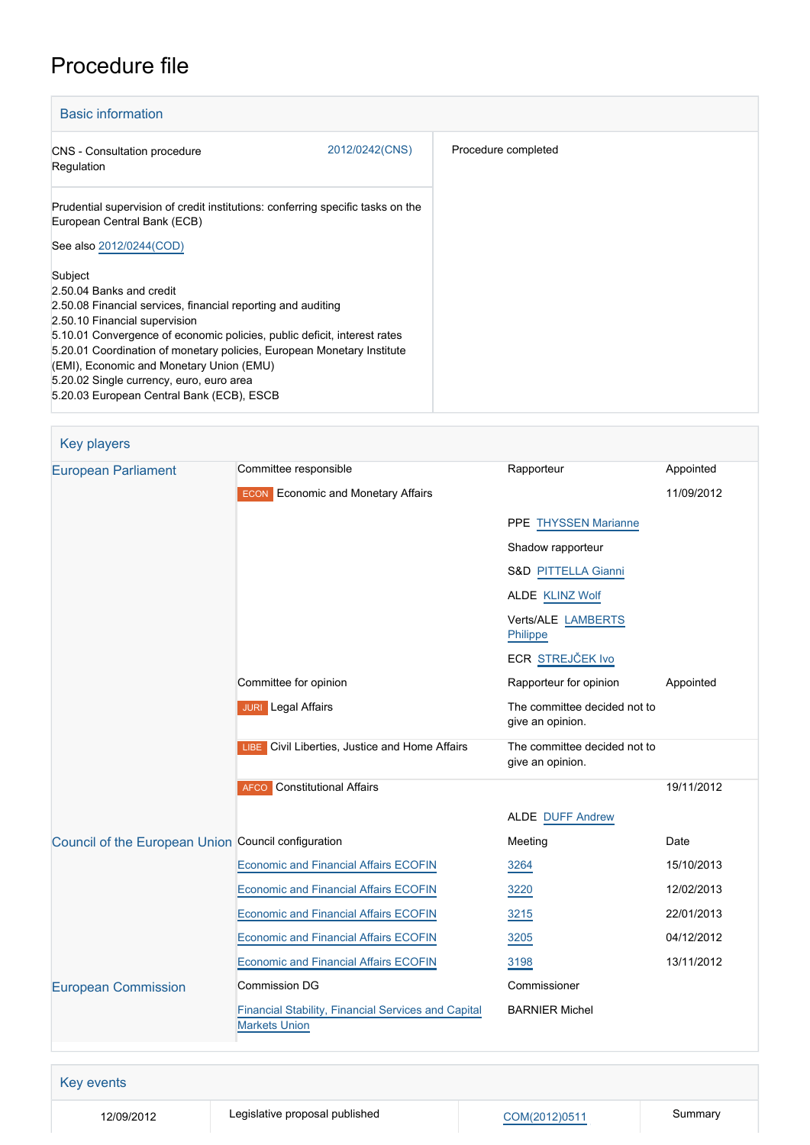# Procedure file

| <b>Basic information</b>                                                                                                                                                                       |                |                     |
|------------------------------------------------------------------------------------------------------------------------------------------------------------------------------------------------|----------------|---------------------|
| <b>CNS</b> - Consultation procedure<br>Regulation                                                                                                                                              | 2012/0242(CNS) | Procedure completed |
| Prudential supervision of credit institutions: conferring specific tasks on the<br>European Central Bank (ECB)                                                                                 |                |                     |
| See also 2012/0244(COD)<br>Subject                                                                                                                                                             |                |                     |
| 2.50.04 Banks and credit<br>2.50.08 Financial services, financial reporting and auditing<br>2.50.10 Financial supervision                                                                      |                |                     |
| 5.10.01 Convergence of economic policies, public deficit, interest rates<br>5.20.01 Coordination of monetary policies, European Monetary Institute<br>(EMI), Economic and Monetary Union (EMU) |                |                     |
| 5.20.02 Single currency, euro, euro area<br>5.20.03 European Central Bank (ECB), ESCB                                                                                                          |                |                     |

| Key players                                         |                                                                             |                                                  |            |
|-----------------------------------------------------|-----------------------------------------------------------------------------|--------------------------------------------------|------------|
| <b>European Parliament</b>                          | Committee responsible                                                       | Rapporteur                                       | Appointed  |
|                                                     | <b>ECON</b> Economic and Monetary Affairs                                   |                                                  | 11/09/2012 |
|                                                     |                                                                             | PPE THYSSEN Marianne                             |            |
|                                                     |                                                                             | Shadow rapporteur                                |            |
|                                                     |                                                                             | S&D PITTELLA Gianni                              |            |
|                                                     |                                                                             | ALDE KLINZ Wolf                                  |            |
|                                                     |                                                                             | Verts/ALE LAMBERTS<br>Philippe                   |            |
|                                                     |                                                                             | ECR STREJČEK Ivo                                 |            |
|                                                     | Committee for opinion                                                       | Rapporteur for opinion                           | Appointed  |
|                                                     | <b>JURI</b> Legal Affairs                                                   | The committee decided not to<br>give an opinion. |            |
|                                                     | LIBE Civil Liberties, Justice and Home Affairs                              | The committee decided not to<br>give an opinion. |            |
|                                                     | <b>AFCO</b> Constitutional Affairs                                          |                                                  | 19/11/2012 |
|                                                     |                                                                             | <b>ALDE DUFF Andrew</b>                          |            |
| Council of the European Union Council configuration |                                                                             | Meeting                                          | Date       |
|                                                     | <b>Economic and Financial Affairs ECOFIN</b>                                | 3264                                             | 15/10/2013 |
|                                                     | <b>Economic and Financial Affairs ECOFIN</b>                                | 3220                                             | 12/02/2013 |
|                                                     | <b>Economic and Financial Affairs ECOFIN</b>                                | 3215                                             | 22/01/2013 |
|                                                     | <b>Economic and Financial Affairs ECOFIN</b>                                | 3205                                             | 04/12/2012 |
|                                                     | <b>Economic and Financial Affairs ECOFIN</b>                                | 3198                                             | 13/11/2012 |
| <b>European Commission</b>                          | <b>Commission DG</b>                                                        | Commissioner                                     |            |
|                                                     | Financial Stability, Financial Services and Capital<br><b>Markets Union</b> | <b>BARNIER Michel</b>                            |            |
|                                                     |                                                                             |                                                  |            |

Key events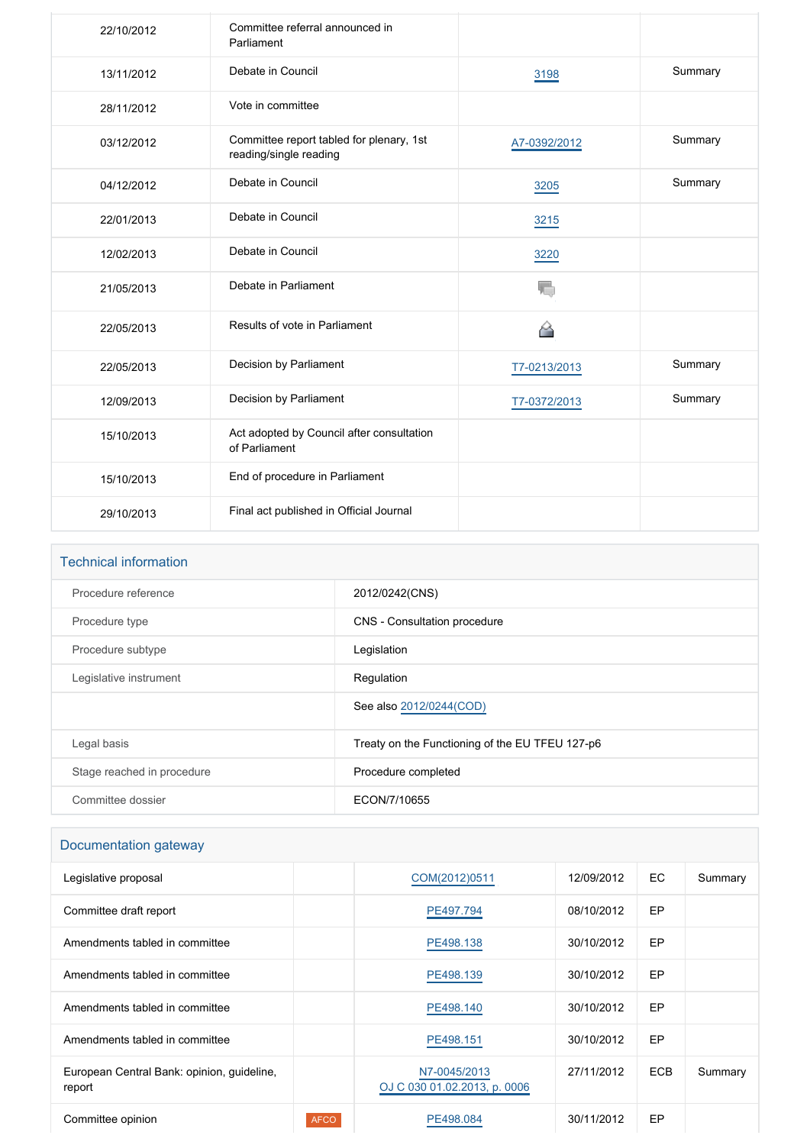| 22/10/2012 | Committee referral announced in<br>Parliament                      |              |         |
|------------|--------------------------------------------------------------------|--------------|---------|
| 13/11/2012 | Debate in Council                                                  | 3198         | Summary |
| 28/11/2012 | Vote in committee                                                  |              |         |
| 03/12/2012 | Committee report tabled for plenary, 1st<br>reading/single reading | A7-0392/2012 | Summary |
| 04/12/2012 | Debate in Council                                                  | 3205         | Summary |
| 22/01/2013 | Debate in Council                                                  | 3215         |         |
| 12/02/2013 | Debate in Council                                                  | 3220         |         |
| 21/05/2013 | Debate in Parliament                                               | T,           |         |
| 22/05/2013 | Results of vote in Parliament                                      | 省            |         |
| 22/05/2013 | Decision by Parliament                                             | T7-0213/2013 | Summary |
| 12/09/2013 | Decision by Parliament                                             | T7-0372/2013 | Summary |
| 15/10/2013 | Act adopted by Council after consultation<br>of Parliament         |              |         |
| 15/10/2013 | End of procedure in Parliament                                     |              |         |
| 29/10/2013 | Final act published in Official Journal                            |              |         |

| <b>Technical information</b> |                                                 |  |
|------------------------------|-------------------------------------------------|--|
| Procedure reference          | 2012/0242(CNS)                                  |  |
| Procedure type               | CNS - Consultation procedure                    |  |
| Procedure subtype            | Legislation                                     |  |
| Legislative instrument       | Regulation                                      |  |
|                              | See also 2012/0244(COD)                         |  |
| Legal basis                  | Treaty on the Functioning of the EU TFEU 127-p6 |  |
| Stage reached in procedure   | Procedure completed                             |  |
| Committee dossier            | ECON/7/10655                                    |  |

## Documentation gateway

| Legislative proposal                                 |             | COM(2012)0511                                | 12/09/2012 | EC.        | Summary |
|------------------------------------------------------|-------------|----------------------------------------------|------------|------------|---------|
| Committee draft report                               |             | PE497.794                                    | 08/10/2012 | <b>EP</b>  |         |
| Amendments tabled in committee                       |             | PE498.138                                    | 30/10/2012 | <b>EP</b>  |         |
| Amendments tabled in committee                       |             | PE498.139                                    | 30/10/2012 | EP         |         |
| Amendments tabled in committee                       |             | PE498.140                                    | 30/10/2012 | <b>EP</b>  |         |
| Amendments tabled in committee                       |             | PE498.151                                    | 30/10/2012 | EP         |         |
| European Central Bank: opinion, guideline,<br>report |             | N7-0045/2013<br>OJ C 030 01.02.2013, p. 0006 | 27/11/2012 | <b>ECB</b> | Summary |
| Committee opinion                                    | <b>AFCO</b> | PE498.084                                    | 30/11/2012 | EP         |         |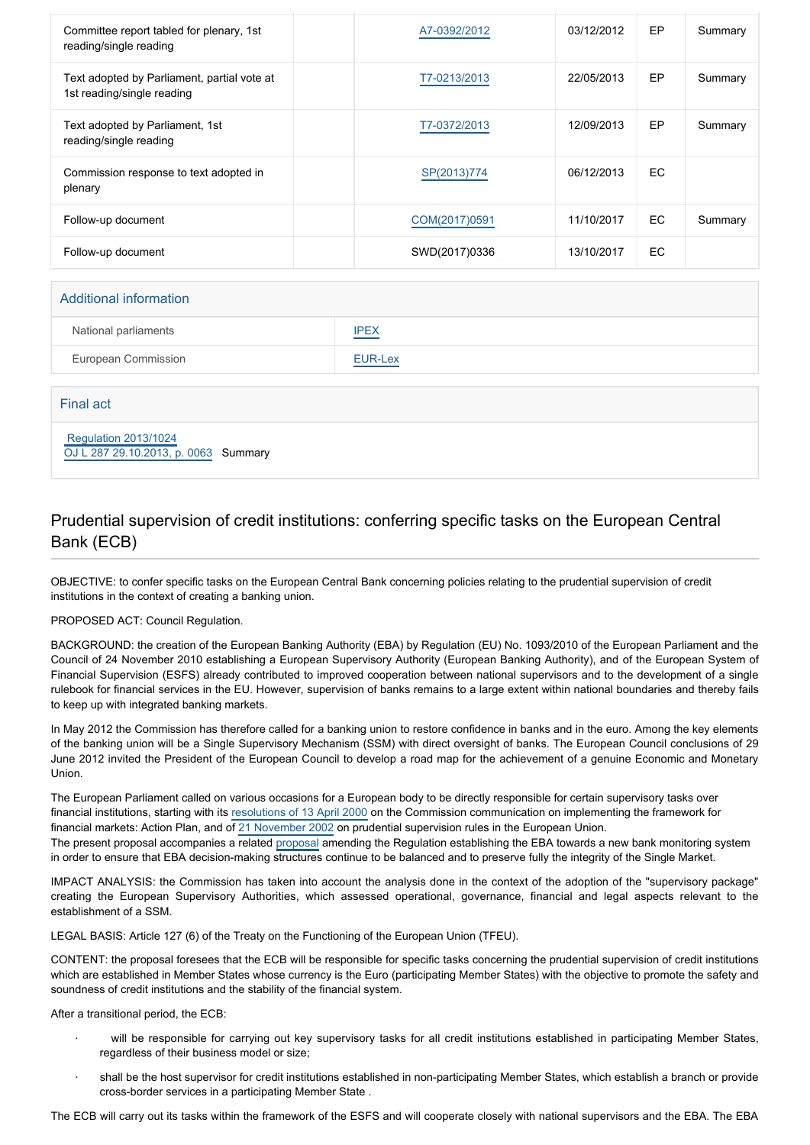| Committee report tabled for plenary, 1st<br>reading/single reading        | A7-0392/2012  | 03/12/2012 | <b>EP</b> | Summary |
|---------------------------------------------------------------------------|---------------|------------|-----------|---------|
| Text adopted by Parliament, partial vote at<br>1st reading/single reading | T7-0213/2013  | 22/05/2013 | EP        | Summary |
| Text adopted by Parliament, 1st<br>reading/single reading                 | T7-0372/2013  | 12/09/2013 | EP        | Summary |
| Commission response to text adopted in<br>plenary                         | SP(2013)774   | 06/12/2013 | EC.       |         |
| Follow-up document                                                        | COM(2017)0591 | 11/10/2017 | <b>EC</b> | Summary |
| Follow-up document                                                        | SWD(2017)0336 | 13/10/2017 | EC.       |         |

#### Additional information

| National parliaments | <b>IPEX</b>      |
|----------------------|------------------|
| European Commission  | EUR-Lex<br>_____ |

Final act

 [Regulation 2013/1024](https://eur-lex.europa.eu/smartapi/cgi/sga_doc?smartapi!celexplus!prod!CELEXnumdoc&lg=EN&numdoc=32013R1024) [OJ L 287 29.10.2013, p. 0063](https://eur-lex.europa.eu/legal-content/EN/TXT/?uri=OJ:L:2013:287:TOC) Summary

#### Prudential supervision of credit institutions: conferring specific tasks on the European Central Bank (ECB)

OBJECTIVE: to confer specific tasks on the European Central Bank concerning policies relating to the prudential supervision of credit institutions in the context of creating a banking union.

PROPOSED ACT: Council Regulation.

BACKGROUND: the creation of the European Banking Authority (EBA) by Regulation (EU) No. 1093/2010 of the European Parliament and the Council of 24 November 2010 establishing a European Supervisory Authority (European Banking Authority), and of the European System of Financial Supervision (ESFS) already contributed to improved cooperation between national supervisors and to the development of a single rulebook for financial services in the EU. However, supervision of banks remains to a large extent within national boundaries and thereby fails to keep up with integrated banking markets.

In May 2012 the Commission has therefore called for a banking union to restore confidence in banks and in the euro. Among the key elements of the banking union will be a Single Supervisory Mechanism (SSM) with direct oversight of banks. The European Council conclusions of 29 June 2012 invited the President of the European Council to develop a road map for the achievement of a genuine Economic and Monetary Union.

The European Parliament called on various occasions for a European body to be directly responsible for certain supervisory tasks over financial institutions, starting with its [resolutions of 13 April 2000](http://www.europarl.europa.eu/oeil/FindByProcnum.do?lang=eng&procnum=COS/1999/2117) on the Commission communication on implementing the framework for financial markets: Action Plan, and of [21 November 2002](http://www.europarl.europa.eu/oeil/FindByProcnum.do?lang=en&procnum=INI/2002/2061) on prudential supervision rules in the European Union. The present proposal accompanies a related [proposal](http://www.europarl.europa.eu/oeil/FindByProcnum.do?lang=eng&procnum=COD/2012/0244) amending the Regulation establishing the EBA towards a new bank monitoring system in order to ensure that EBA decision-making structures continue to be balanced and to preserve fully the integrity of the Single Market.

IMPACT ANALYSIS: the Commission has taken into account the analysis done in the context of the adoption of the "supervisory package" creating the European Supervisory Authorities, which assessed operational, governance, financial and legal aspects relevant to the establishment of a SSM.

LEGAL BASIS: Article 127 (6) of the Treaty on the Functioning of the European Union (TFEU).

CONTENT: the proposal foresees that the ECB will be responsible for specific tasks concerning the prudential supervision of credit institutions which are established in Member States whose currency is the Euro (participating Member States) with the objective to promote the safety and soundness of credit institutions and the stability of the financial system.

After a transitional period, the ECB:

- will be responsible for carrying out key supervisory tasks for all credit institutions established in participating Member States, regardless of their business model or size;
- shall be the host supervisor for credit institutions established in non-participating Member States, which establish a branch or provide cross-border services in a participating Member State .

The ECB will carry out its tasks within the framework of the ESFS and will cooperate closely with national supervisors and the EBA. The EBA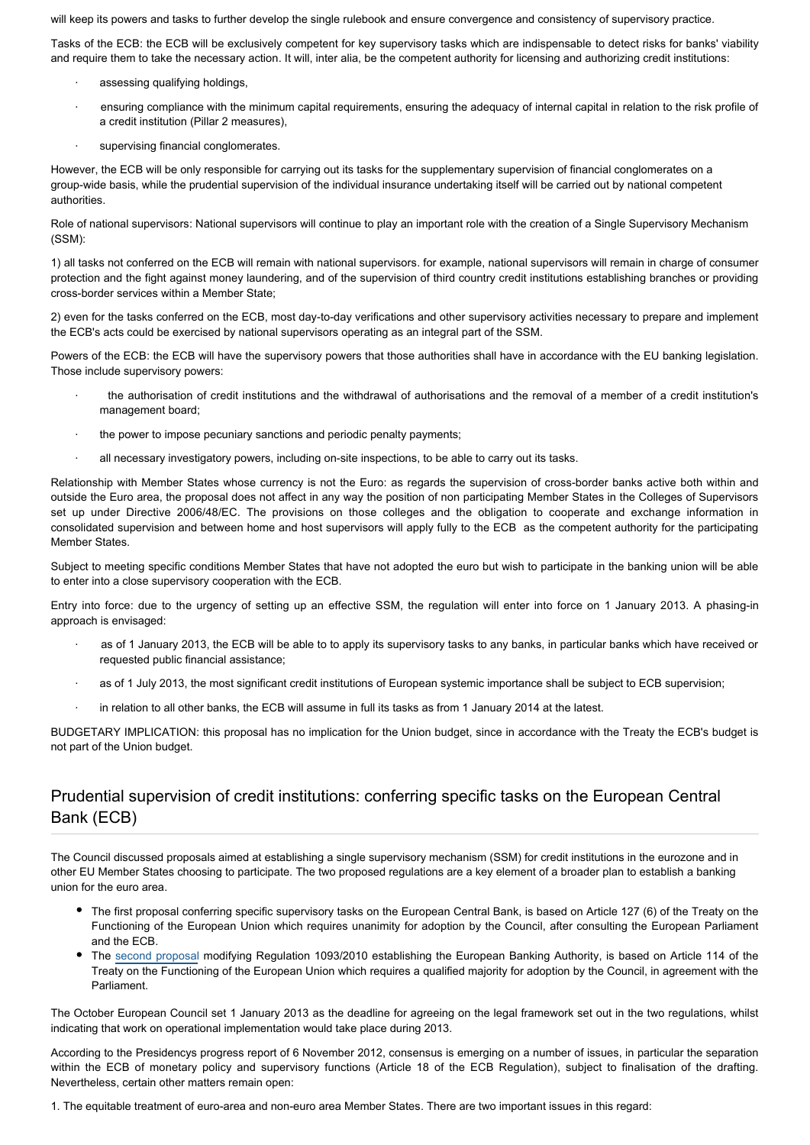will keep its powers and tasks to further develop the single rulebook and ensure convergence and consistency of supervisory practice.

Tasks of the ECB: the ECB will be exclusively competent for key supervisory tasks which are indispensable to detect risks for banks' viability and require them to take the necessary action. It will, inter alia, be the competent authority for licensing and authorizing credit institutions:

- assessing qualifying holdings,
- ensuring compliance with the minimum capital requirements, ensuring the adequacy of internal capital in relation to the risk profile of a credit institution (Pillar 2 measures),
- supervising financial conglomerates.

However, the ECB will be only responsible for carrying out its tasks for the supplementary supervision of financial conglomerates on a group-wide basis, while the prudential supervision of the individual insurance undertaking itself will be carried out by national competent authorities.

Role of national supervisors: National supervisors will continue to play an important role with the creation of a Single Supervisory Mechanism (SSM):

1) all tasks not conferred on the ECB will remain with national supervisors. for example, national supervisors will remain in charge of consumer protection and the fight against money laundering, and of the supervision of third country credit institutions establishing branches or providing cross-border services within a Member State;

2) even for the tasks conferred on the ECB, most day-to-day verifications and other supervisory activities necessary to prepare and implement the ECB's acts could be exercised by national supervisors operating as an integral part of the SSM.

Powers of the ECB: the ECB will have the supervisory powers that those authorities shall have in accordance with the EU banking legislation. Those include supervisory powers:

- · the authorisation of credit institutions and the withdrawal of authorisations and the removal of a member of a credit institution's management board;
- the power to impose pecuniary sanctions and periodic penalty payments;
- all necessary investigatory powers, including on-site inspections, to be able to carry out its tasks.

Relationship with Member States whose currency is not the Euro: as regards the supervision of cross-border banks active both within and outside the Euro area, the proposal does not affect in any way the position of non participating Member States in the Colleges of Supervisors set up under Directive 2006/48/EC. The provisions on those colleges and the obligation to cooperate and exchange information in consolidated supervision and between home and host supervisors will apply fully to the ECB as the competent authority for the participating Member States.

Subject to meeting specific conditions Member States that have not adopted the euro but wish to participate in the banking union will be able to enter into a close supervisory cooperation with the ECB.

Entry into force: due to the urgency of setting up an effective SSM, the regulation will enter into force on 1 January 2013. A phasing-in approach is envisaged:

- as of 1 January 2013, the ECB will be able to to apply its supervisory tasks to any banks, in particular banks which have received or requested public financial assistance;
- as of 1 July 2013, the most significant credit institutions of European systemic importance shall be subject to ECB supervision:
- in relation to all other banks, the ECB will assume in full its tasks as from 1 January 2014 at the latest.

BUDGETARY IMPLICATION: this proposal has no implication for the Union budget, since in accordance with the Treaty the ECB's budget is not part of the Union budget.

#### Prudential supervision of credit institutions: conferring specific tasks on the European Central Bank (ECB)

The Council discussed proposals aimed at establishing a single supervisory mechanism (SSM) for credit institutions in the eurozone and in other EU Member States choosing to participate. The two proposed regulations are a key element of a broader plan to establish a banking union for the euro area.

- The first proposal conferring specific supervisory tasks on the European Central Bank, is based on Article 127 (6) of the Treaty on the Functioning of the European Union which requires unanimity for adoption by the Council, after consulting the European Parliament and the ECB.
- The [second proposal](http://www.europarl.europa.eu/oeil/popups/ficheprocedure.do?lang=en&reference=2012/0244(COD)) modifying Regulation 1093/2010 establishing the European Banking Authority, is based on Article 114 of the Treaty on the Functioning of the European Union which requires a qualified majority for adoption by the Council, in agreement with the Parliament.

The October European Council set 1 January 2013 as the deadline for agreeing on the legal framework set out in the two regulations, whilst indicating that work on operational implementation would take place during 2013.

According to the Presidencys progress report of 6 November 2012, consensus is emerging on a number of issues, in particular the separation within the ECB of monetary policy and supervisory functions (Article 18 of the ECB Regulation), subject to finalisation of the drafting. Nevertheless, certain other matters remain open:

1. The equitable treatment of euro-area and non-euro area Member States. There are two important issues in this regard: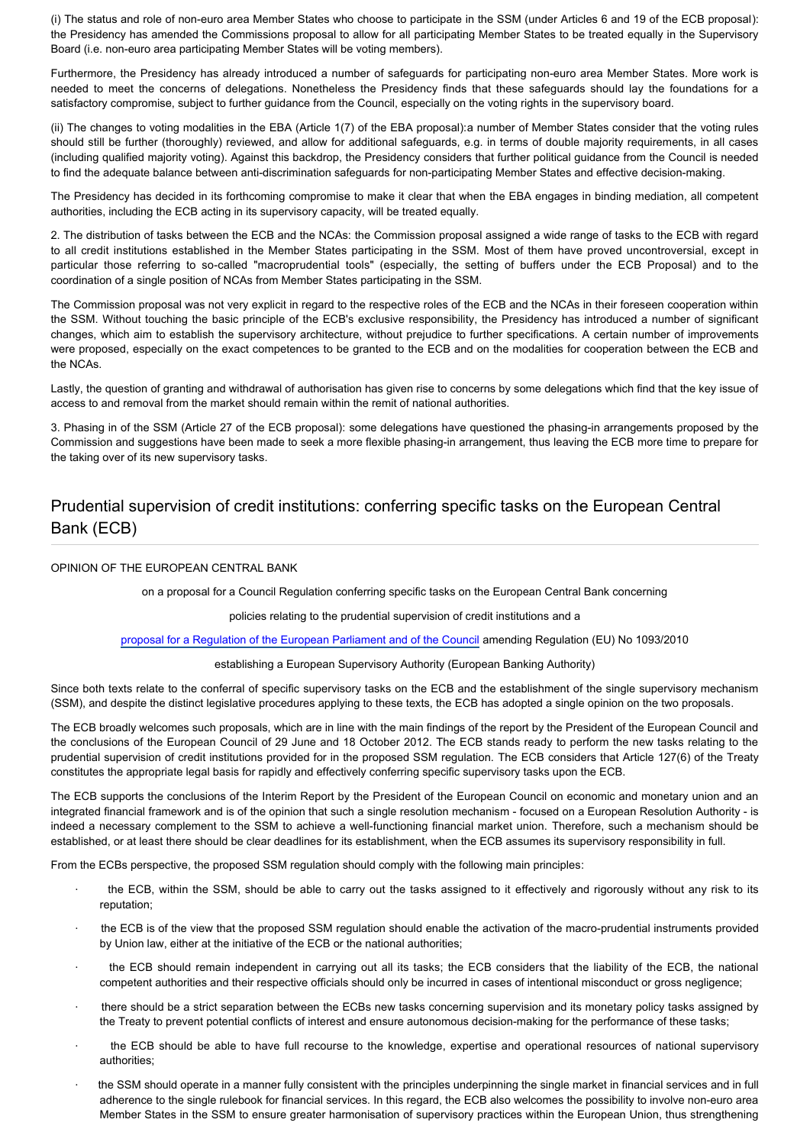(i) The status and role of non-euro area Member States who choose to participate in the SSM (under Articles 6 and 19 of the ECB proposal): the Presidency has amended the Commissions proposal to allow for all participating Member States to be treated equally in the Supervisory Board (i.e. non-euro area participating Member States will be voting members).

Furthermore, the Presidency has already introduced a number of safeguards for participating non-euro area Member States. More work is needed to meet the concerns of delegations. Nonetheless the Presidency finds that these safeguards should lay the foundations for a satisfactory compromise, subject to further guidance from the Council, especially on the voting rights in the supervisory board.

(ii) The changes to voting modalities in the EBA (Article 1(7) of the EBA proposal):a number of Member States consider that the voting rules should still be further (thoroughly) reviewed, and allow for additional safeguards, e.g. in terms of double majority requirements, in all cases (including qualified majority voting). Against this backdrop, the Presidency considers that further political guidance from the Council is needed to find the adequate balance between anti-discrimination safeguards for non-participating Member States and effective decision-making.

The Presidency has decided in its forthcoming compromise to make it clear that when the EBA engages in binding mediation, all competent authorities, including the ECB acting in its supervisory capacity, will be treated equally.

2. The distribution of tasks between the ECB and the NCAs: the Commission proposal assigned a wide range of tasks to the ECB with regard to all credit institutions established in the Member States participating in the SSM. Most of them have proved uncontroversial, except in particular those referring to so-called "macroprudential tools" (especially, the setting of buffers under the ECB Proposal) and to the coordination of a single position of NCAs from Member States participating in the SSM.

The Commission proposal was not very explicit in regard to the respective roles of the ECB and the NCAs in their foreseen cooperation within the SSM. Without touching the basic principle of the ECB's exclusive responsibility, the Presidency has introduced a number of significant changes, which aim to establish the supervisory architecture, without prejudice to further specifications. A certain number of improvements were proposed, especially on the exact competences to be granted to the ECB and on the modalities for cooperation between the ECB and the NCAs.

Lastly, the question of granting and withdrawal of authorisation has given rise to concerns by some delegations which find that the key issue of access to and removal from the market should remain within the remit of national authorities.

3. Phasing in of the SSM (Article 27 of the ECB proposal): some delegations have questioned the phasing-in arrangements proposed by the Commission and suggestions have been made to seek a more flexible phasing-in arrangement, thus leaving the ECB more time to prepare for the taking over of its new supervisory tasks.

### Prudential supervision of credit institutions: conferring specific tasks on the European Central Bank (ECB)

#### OPINION OF THE EUROPEAN CENTRAL BANK

on a proposal for a Council Regulation conferring specific tasks on the European Central Bank concerning

policies relating to the prudential supervision of credit institutions and a

[proposal for a Regulation of the European Parliament and of the Council](http://www.europarl.europa.eu/oeil/popups/ficheprocedure.do?reference=2012/0244(COD)&l=EN) amending Regulation (EU) No 1093/2010

establishing a European Supervisory Authority (European Banking Authority)

Since both texts relate to the conferral of specific supervisory tasks on the ECB and the establishment of the single supervisory mechanism (SSM), and despite the distinct legislative procedures applying to these texts, the ECB has adopted a single opinion on the two proposals.

The ECB broadly welcomes such proposals, which are in line with the main findings of the report by the President of the European Council and the conclusions of the European Council of 29 June and 18 October 2012. The ECB stands ready to perform the new tasks relating to the prudential supervision of credit institutions provided for in the proposed SSM regulation. The ECB considers that Article 127(6) of the Treaty constitutes the appropriate legal basis for rapidly and effectively conferring specific supervisory tasks upon the ECB.

The ECB supports the conclusions of the Interim Report by the President of the European Council on economic and monetary union and an integrated financial framework and is of the opinion that such a single resolution mechanism - focused on a European Resolution Authority - is indeed a necessary complement to the SSM to achieve a well-functioning financial market union. Therefore, such a mechanism should be established, or at least there should be clear deadlines for its establishment, when the ECB assumes its supervisory responsibility in full.

From the ECBs perspective, the proposed SSM regulation should comply with the following main principles:

- · the ECB, within the SSM, should be able to carry out the tasks assigned to it effectively and rigorously without any risk to its reputation;
- the ECB is of the view that the proposed SSM regulation should enable the activation of the macro-prudential instruments provided by Union law, either at the initiative of the ECB or the national authorities;
- · the ECB should remain independent in carrying out all its tasks; the ECB considers that the liability of the ECB, the national competent authorities and their respective officials should only be incurred in cases of intentional misconduct or gross negligence;
- · there should be a strict separation between the ECBs new tasks concerning supervision and its monetary policy tasks assigned by the Treaty to prevent potential conflicts of interest and ensure autonomous decision-making for the performance of these tasks;
- the ECB should be able to have full recourse to the knowledge, expertise and operational resources of national supervisory authorities;
- the SSM should operate in a manner fully consistent with the principles underpinning the single market in financial services and in full adherence to the single rulebook for financial services. In this regard, the ECB also welcomes the possibility to involve non-euro area Member States in the SSM to ensure greater harmonisation of supervisory practices within the European Union, thus strengthening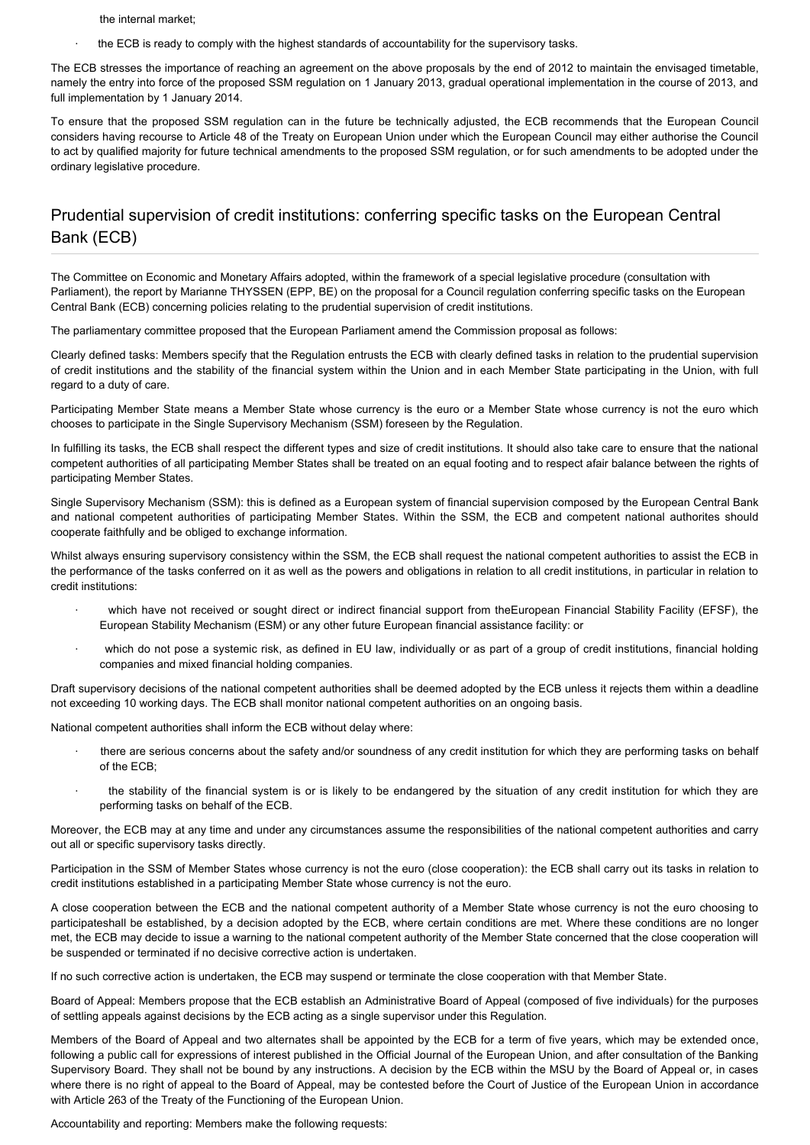- the internal market;
- the ECB is ready to comply with the highest standards of accountability for the supervisory tasks.

The ECB stresses the importance of reaching an agreement on the above proposals by the end of 2012 to maintain the envisaged timetable, namely the entry into force of the proposed SSM regulation on 1 January 2013, gradual operational implementation in the course of 2013, and full implementation by 1 January 2014.

To ensure that the proposed SSM regulation can in the future be technically adjusted, the ECB recommends that the European Council considers having recourse to Article 48 of the Treaty on European Union under which the European Council may either authorise the Council to act by qualified majority for future technical amendments to the proposed SSM regulation, or for such amendments to be adopted under the ordinary legislative procedure.

#### Prudential supervision of credit institutions: conferring specific tasks on the European Central Bank (ECB)

The Committee on Economic and Monetary Affairs adopted, within the framework of a special legislative procedure (consultation with Parliament), the report by Marianne THYSSEN (EPP, BE) on the proposal for a Council regulation conferring specific tasks on the European Central Bank (ECB) concerning policies relating to the prudential supervision of credit institutions.

The parliamentary committee proposed that the European Parliament amend the Commission proposal as follows:

Clearly defined tasks: Members specify that the Regulation entrusts the ECB with clearly defined tasks in relation to the prudential supervision of credit institutions and the stability of the financial system within the Union and in each Member State participating in the Union, with full regard to a duty of care.

Participating Member State means a Member State whose currency is the euro or a Member State whose currency is not the euro which chooses to participate in the Single Supervisory Mechanism (SSM) foreseen by the Regulation.

In fulfilling its tasks, the ECB shall respect the different types and size of credit institutions. It should also take care to ensure that the national competent authorities of all participating Member States shall be treated on an equal footing and to respect afair balance between the rights of participating Member States.

Single Supervisory Mechanism (SSM): this is defined as a European system of financial supervision composed by the European Central Bank and national competent authorities of participating Member States. Within the SSM, the ECB and competent national authorites should cooperate faithfully and be obliged to exchange information.

Whilst always ensuring supervisory consistency within the SSM, the ECB shall request the national competent authorities to assist the ECB in the performance of the tasks conferred on it as well as the powers and obligations in relation to all credit institutions, in particular in relation to credit institutions:

- which have not received or sought direct or indirect financial support from theEuropean Financial Stability Facility (EFSF), the European Stability Mechanism (ESM) or any other future European financial assistance facility: or
- which do not pose a systemic risk, as defined in EU law, individually or as part of a group of credit institutions, financial holding companies and mixed financial holding companies.

Draft supervisory decisions of the national competent authorities shall be deemed adopted by the ECB unless it rejects them within a deadline not exceeding 10 working days. The ECB shall monitor national competent authorities on an ongoing basis.

National competent authorities shall inform the ECB without delay where:

- there are serious concerns about the safety and/or soundness of any credit institution for which they are performing tasks on behalf of the ECB;
- the stability of the financial system is or is likely to be endangered by the situation of any credit institution for which they are performing tasks on behalf of the ECB.

Moreover, the ECB may at any time and under any circumstances assume the responsibilities of the national competent authorities and carry out all or specific supervisory tasks directly.

Participation in the SSM of Member States whose currency is not the euro (close cooperation): the ECB shall carry out its tasks in relation to credit institutions established in a participating Member State whose currency is not the euro.

A close cooperation between the ECB and the national competent authority of a Member State whose currency is not the euro choosing to participateshall be established, by a decision adopted by the ECB, where certain conditions are met. Where these conditions are no longer met, the ECB may decide to issue a warning to the national competent authority of the Member State concerned that the close cooperation will be suspended or terminated if no decisive corrective action is undertaken.

If no such corrective action is undertaken, the ECB may suspend or terminate the close cooperation with that Member State.

Board of Appeal: Members propose that the ECB establish an Administrative Board of Appeal (composed of five individuals) for the purposes of settling appeals against decisions by the ECB acting as a single supervisor under this Regulation.

Members of the Board of Appeal and two alternates shall be appointed by the ECB for a term of five years, which may be extended once, following a public call for expressions of interest published in the Official Journal of the European Union, and after consultation of the Banking Supervisory Board. They shall not be bound by any instructions. A decision by the ECB within the MSU by the Board of Appeal or, in cases where there is no right of appeal to the Board of Appeal, may be contested before the Court of Justice of the European Union in accordance with Article 263 of the Treaty of the Functioning of the European Union.

Accountability and reporting: Members make the following requests: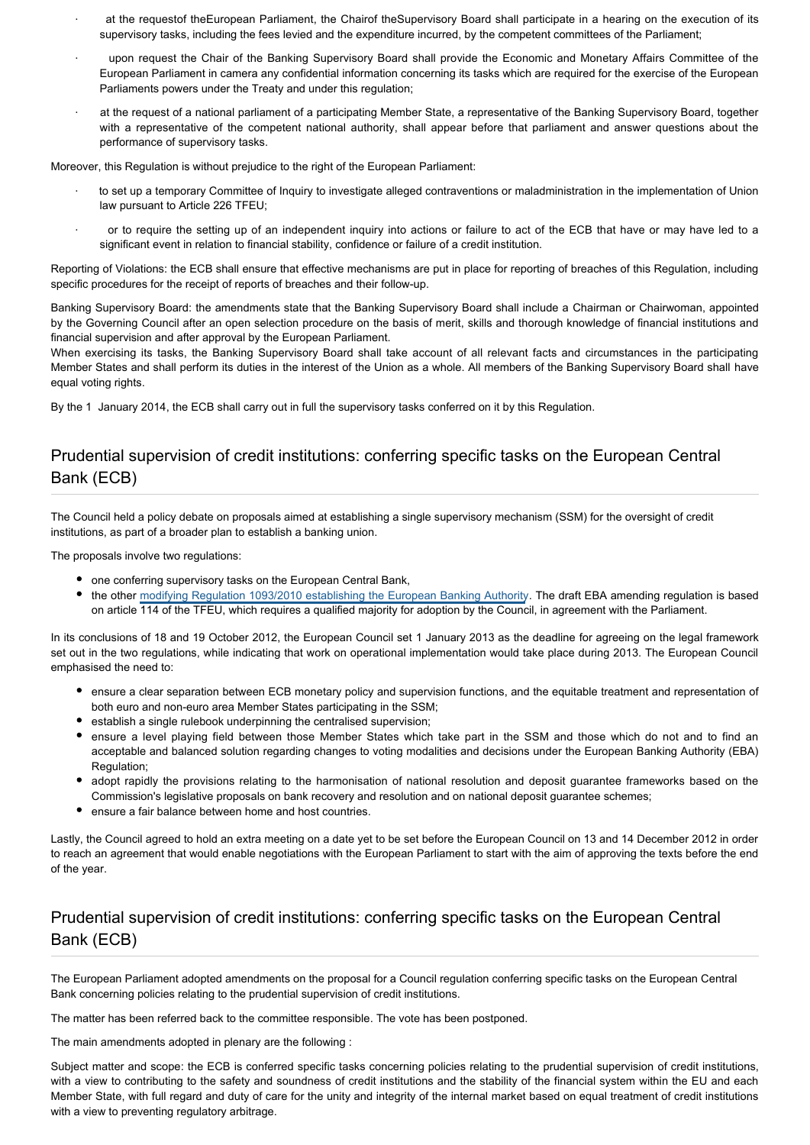- at the requestof theEuropean Parliament, the Chairof theSupervisory Board shall participate in a hearing on the execution of its supervisory tasks, including the fees levied and the expenditure incurred, by the competent committees of the Parliament;
- · upon request the Chair of the Banking Supervisory Board shall provide the Economic and Monetary Affairs Committee of the European Parliament in camera any confidential information concerning its tasks which are required for the exercise of the European Parliaments powers under the Treaty and under this regulation;
- at the request of a national parliament of a participating Member State, a representative of the Banking Supervisory Board, together with a representative of the competent national authority, shall appear before that parliament and answer questions about the performance of supervisory tasks.

Moreover, this Regulation is without prejudice to the right of the European Parliament:

- · to set up a temporary Committee of Inquiry to investigate alleged contraventions or maladministration in the implementation of Union law pursuant to Article 226 TFEU;
- · or to require the setting up of an independent inquiry into actions or failure to act of the ECB that have or may have led to a significant event in relation to financial stability, confidence or failure of a credit institution.

Reporting of Violations: the ECB shall ensure that effective mechanisms are put in place for reporting of breaches of this Regulation, including specific procedures for the receipt of reports of breaches and their follow-up.

Banking Supervisory Board: the amendments state that the Banking Supervisory Board shall include a Chairman or Chairwoman, appointed by the Governing Council after an open selection procedure on the basis of merit, skills and thorough knowledge of financial institutions and financial supervision and after approval by the European Parliament.

When exercising its tasks, the Banking Supervisory Board shall take account of all relevant facts and circumstances in the participating Member States and shall perform its duties in the interest of the Union as a whole. All members of the Banking Supervisory Board shall have equal voting rights.

By the 1 January 2014, the ECB shall carry out in full the supervisory tasks conferred on it by this Regulation.

#### Prudential supervision of credit institutions: conferring specific tasks on the European Central Bank (ECB)

The Council held a policy debate on proposals aimed at establishing a single supervisory mechanism (SSM) for the oversight of credit institutions, as part of a broader plan to establish a banking union.

The proposals involve two regulations:

- one conferring supervisory tasks on the European Central Bank,
- the other [modifying Regulation 1093/2010 establishing the European Banking Authority](http://www.europarl.europa.eu/oeil/FindByProcnum.do?lang=en&procnum=COD/2012/0244). The draft EBA amending regulation is based on article 114 of the TFEU, which requires a qualified majority for adoption by the Council, in agreement with the Parliament.

In its conclusions of 18 and 19 October 2012, the European Council set 1 January 2013 as the deadline for agreeing on the legal framework set out in the two regulations, while indicating that work on operational implementation would take place during 2013. The European Council emphasised the need to:

- ensure a clear separation between ECB monetary policy and supervision functions, and the equitable treatment and representation of both euro and non-euro area Member States participating in the SSM;
- establish a single rulebook underpinning the centralised supervision;
- ensure a level playing field between those Member States which take part in the SSM and those which do not and to find an acceptable and balanced solution regarding changes to voting modalities and decisions under the European Banking Authority (EBA) Regulation:
- adopt rapidly the provisions relating to the harmonisation of national resolution and deposit guarantee frameworks based on the Commission's legislative proposals on bank recovery and resolution and on national deposit guarantee schemes;
- ensure a fair balance between home and host countries.

Lastly, the Council agreed to hold an extra meeting on a date yet to be set before the European Council on 13 and 14 December 2012 in order to reach an agreement that would enable negotiations with the European Parliament to start with the aim of approving the texts before the end of the year.

#### Prudential supervision of credit institutions: conferring specific tasks on the European Central Bank (ECB)

The European Parliament adopted amendments on the proposal for a Council regulation conferring specific tasks on the European Central Bank concerning policies relating to the prudential supervision of credit institutions.

The matter has been referred back to the committee responsible. The vote has been postponed.

The main amendments adopted in plenary are the following :

Subject matter and scope: the ECB is conferred specific tasks concerning policies relating to the prudential supervision of credit institutions, with a view to contributing to the safety and soundness of credit institutions and the stability of the financial system within the EU and each Member State, with full regard and duty of care for the unity and integrity of the internal market based on equal treatment of credit institutions with a view to preventing regulatory arbitrage.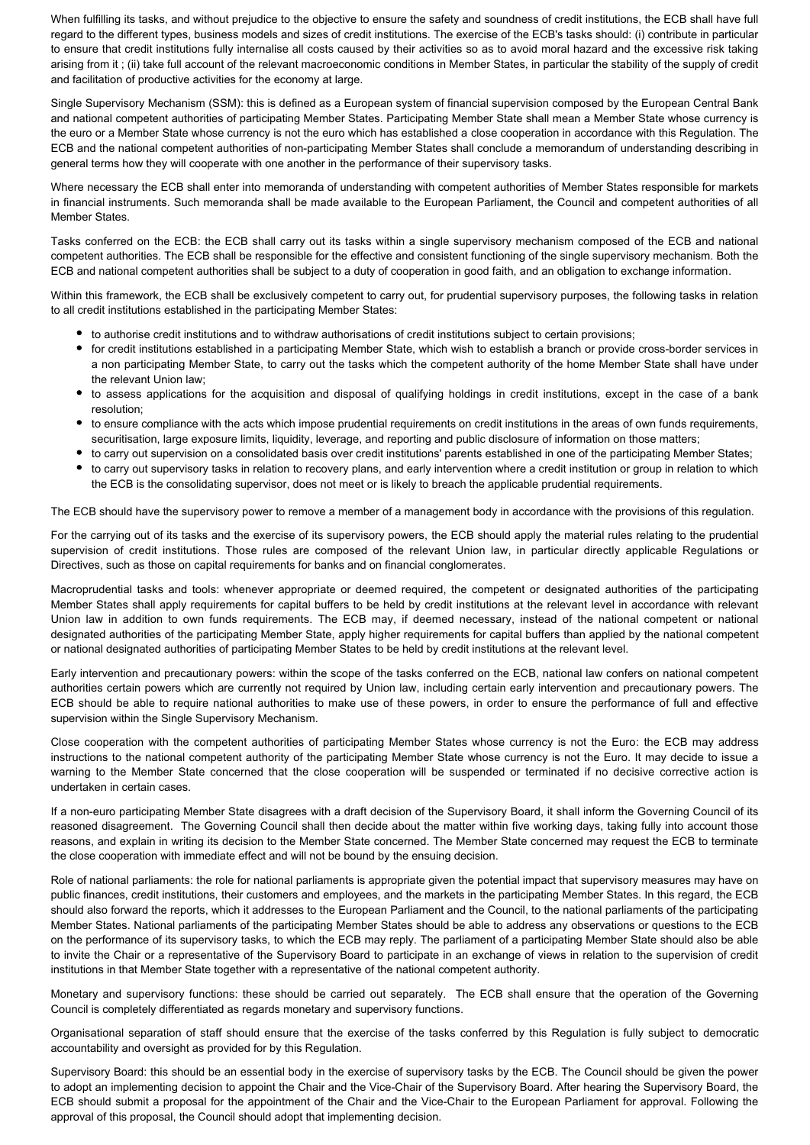When fulfilling its tasks, and without prejudice to the objective to ensure the safety and soundness of credit institutions, the ECB shall have full regard to the different types, business models and sizes of credit institutions. The exercise of the ECB's tasks should: (i) contribute in particular to ensure that credit institutions fully internalise all costs caused by their activities so as to avoid moral hazard and the excessive risk taking arising from it ; (ii) take full account of the relevant macroeconomic conditions in Member States, in particular the stability of the supply of credit and facilitation of productive activities for the economy at large.

Single Supervisory Mechanism (SSM): this is defined as a European system of financial supervision composed by the European Central Bank and national competent authorities of participating Member States. Participating Member State shall mean a Member State whose currency is the euro or a Member State whose currency is not the euro which has established a close cooperation in accordance with this Regulation. The ECB and the national competent authorities of non-participating Member States shall conclude a memorandum of understanding describing in general terms how they will cooperate with one another in the performance of their supervisory tasks.

Where necessary the ECB shall enter into memoranda of understanding with competent authorities of Member States responsible for markets in financial instruments. Such memoranda shall be made available to the European Parliament, the Council and competent authorities of all Member States.

Tasks conferred on the ECB: the ECB shall carry out its tasks within a single supervisory mechanism composed of the ECB and national competent authorities. The ECB shall be responsible for the effective and consistent functioning of the single supervisory mechanism. Both the ECB and national competent authorities shall be subject to a duty of cooperation in good faith, and an obligation to exchange information.

Within this framework, the ECB shall be exclusively competent to carry out, for prudential supervisory purposes, the following tasks in relation to all credit institutions established in the participating Member States:

- to authorise credit institutions and to withdraw authorisations of credit institutions subject to certain provisions;
- for credit institutions established in a participating Member State, which wish to establish a branch or provide cross-border services in a non participating Member State, to carry out the tasks which the competent authority of the home Member State shall have under the relevant Union law;
- to assess applications for the acquisition and disposal of qualifying holdings in credit institutions, except in the case of a bank resolution;
- to ensure compliance with the acts which impose prudential requirements on credit institutions in the areas of own funds requirements, securitisation, large exposure limits, liquidity, leverage, and reporting and public disclosure of information on those matters;
- to carry out supervision on a consolidated basis over credit institutions' parents established in one of the participating Member States;
- to carry out supervisory tasks in relation to recovery plans, and early intervention where a credit institution or group in relation to which the ECB is the consolidating supervisor, does not meet or is likely to breach the applicable prudential requirements.

The ECB should have the supervisory power to remove a member of a management body in accordance with the provisions of this regulation.

For the carrying out of its tasks and the exercise of its supervisory powers, the ECB should apply the material rules relating to the prudential supervision of credit institutions. Those rules are composed of the relevant Union law, in particular directly applicable Regulations or Directives, such as those on capital requirements for banks and on financial conglomerates.

Macroprudential tasks and tools: whenever appropriate or deemed required, the competent or designated authorities of the participating Member States shall apply requirements for capital buffers to be held by credit institutions at the relevant level in accordance with relevant Union law in addition to own funds requirements. The ECB may, if deemed necessary, instead of the national competent or national designated authorities of the participating Member State, apply higher requirements for capital buffers than applied by the national competent or national designated authorities of participating Member States to be held by credit institutions at the relevant level.

Early intervention and precautionary powers: within the scope of the tasks conferred on the ECB, national law confers on national competent authorities certain powers which are currently not required by Union law, including certain early intervention and precautionary powers. The ECB should be able to require national authorities to make use of these powers, in order to ensure the performance of full and effective supervision within the Single Supervisory Mechanism.

Close cooperation with the competent authorities of participating Member States whose currency is not the Euro: the ECB may address instructions to the national competent authority of the participating Member State whose currency is not the Euro. It may decide to issue a warning to the Member State concerned that the close cooperation will be suspended or terminated if no decisive corrective action is undertaken in certain cases.

If a non-euro participating Member State disagrees with a draft decision of the Supervisory Board, it shall inform the Governing Council of its reasoned disagreement. The Governing Council shall then decide about the matter within five working days, taking fully into account those reasons, and explain in writing its decision to the Member State concerned. The Member State concerned may request the ECB to terminate the close cooperation with immediate effect and will not be bound by the ensuing decision.

Role of national parliaments: the role for national parliaments is appropriate given the potential impact that supervisory measures may have on public finances, credit institutions, their customers and employees, and the markets in the participating Member States. In this regard, the ECB should also forward the reports, which it addresses to the European Parliament and the Council, to the national parliaments of the participating Member States. National parliaments of the participating Member States should be able to address any observations or questions to the ECB on the performance of its supervisory tasks, to which the ECB may reply. The parliament of a participating Member State should also be able to invite the Chair or a representative of the Supervisory Board to participate in an exchange of views in relation to the supervision of credit institutions in that Member State together with a representative of the national competent authority.

Monetary and supervisory functions: these should be carried out separately. The ECB shall ensure that the operation of the Governing Council is completely differentiated as regards monetary and supervisory functions.

Organisational separation of staff should ensure that the exercise of the tasks conferred by this Regulation is fully subject to democratic accountability and oversight as provided for by this Regulation.

Supervisory Board: this should be an essential body in the exercise of supervisory tasks by the ECB. The Council should be given the power to adopt an implementing decision to appoint the Chair and the Vice-Chair of the Supervisory Board. After hearing the Supervisory Board, the ECB should submit a proposal for the appointment of the Chair and the Vice-Chair to the European Parliament for approval. Following the approval of this proposal, the Council should adopt that implementing decision.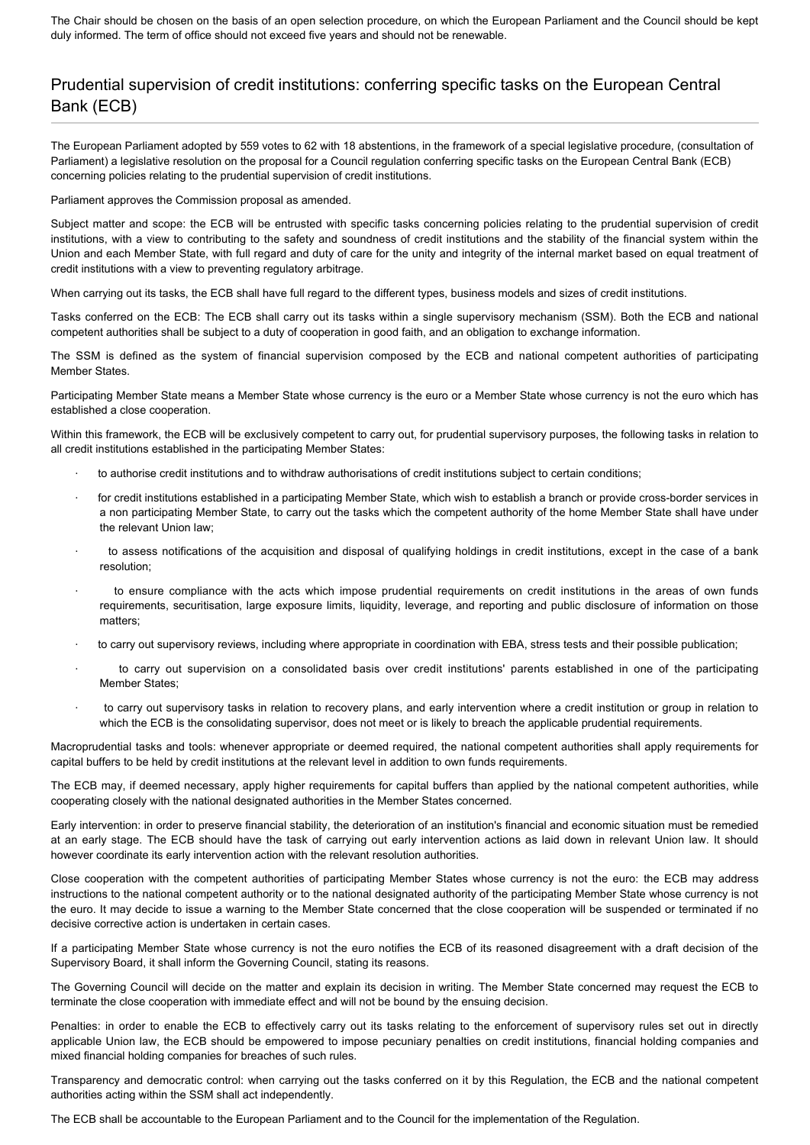The Chair should be chosen on the basis of an open selection procedure, on which the European Parliament and the Council should be kept duly informed. The term of office should not exceed five years and should not be renewable.

## Prudential supervision of credit institutions: conferring specific tasks on the European Central Bank (ECB)

The European Parliament adopted by 559 votes to 62 with 18 abstentions, in the framework of a special legislative procedure, (consultation of Parliament) a legislative resolution on the proposal for a Council regulation conferring specific tasks on the European Central Bank (ECB) concerning policies relating to the prudential supervision of credit institutions.

Parliament approves the Commission proposal as amended.

Subject matter and scope: the ECB will be entrusted with specific tasks concerning policies relating to the prudential supervision of credit institutions, with a view to contributing to the safety and soundness of credit institutions and the stability of the financial system within the Union and each Member State, with full regard and duty of care for the unity and integrity of the internal market based on equal treatment of credit institutions with a view to preventing regulatory arbitrage.

When carrying out its tasks, the ECB shall have full regard to the different types, business models and sizes of credit institutions.

Tasks conferred on the ECB: The ECB shall carry out its tasks within a single supervisory mechanism (SSM). Both the ECB and national competent authorities shall be subject to a duty of cooperation in good faith, and an obligation to exchange information.

The SSM is defined as the system of financial supervision composed by the ECB and national competent authorities of participating Member States.

Participating Member State means a Member State whose currency is the euro or a Member State whose currency is not the euro which has established a close cooperation.

Within this framework, the ECB will be exclusively competent to carry out, for prudential supervisory purposes, the following tasks in relation to all credit institutions established in the participating Member States:

- · to authorise credit institutions and to withdraw authorisations of credit institutions subject to certain conditions;
- for credit institutions established in a participating Member State, which wish to establish a branch or provide cross-border services in a non participating Member State, to carry out the tasks which the competent authority of the home Member State shall have under the relevant Union law;
- · to assess notifications of the acquisition and disposal of qualifying holdings in credit institutions, except in the case of a bank resolution;
- · to ensure compliance with the acts which impose prudential requirements on credit institutions in the areas of own funds requirements, securitisation, large exposure limits, liquidity, leverage, and reporting and public disclosure of information on those matters;
- · to carry out supervisory reviews, including where appropriate in coordination with EBA, stress tests and their possible publication;
- to carry out supervision on a consolidated basis over credit institutions' parents established in one of the participating Member States;
- to carry out supervisory tasks in relation to recovery plans, and early intervention where a credit institution or group in relation to which the ECB is the consolidating supervisor, does not meet or is likely to breach the applicable prudential requirements.

Macroprudential tasks and tools: whenever appropriate or deemed required, the national competent authorities shall apply requirements for capital buffers to be held by credit institutions at the relevant level in addition to own funds requirements.

The ECB may, if deemed necessary, apply higher requirements for capital buffers than applied by the national competent authorities, while cooperating closely with the national designated authorities in the Member States concerned.

Early intervention: in order to preserve financial stability, the deterioration of an institution's financial and economic situation must be remedied at an early stage. The ECB should have the task of carrying out early intervention actions as laid down in relevant Union law. It should however coordinate its early intervention action with the relevant resolution authorities.

Close cooperation with the competent authorities of participating Member States whose currency is not the euro: the ECB may address instructions to the national competent authority or to the national designated authority of the participating Member State whose currency is not the euro. It may decide to issue a warning to the Member State concerned that the close cooperation will be suspended or terminated if no decisive corrective action is undertaken in certain cases.

If a participating Member State whose currency is not the euro notifies the ECB of its reasoned disagreement with a draft decision of the Supervisory Board, it shall inform the Governing Council, stating its reasons.

The Governing Council will decide on the matter and explain its decision in writing. The Member State concerned may request the ECB to terminate the close cooperation with immediate effect and will not be bound by the ensuing decision.

Penalties: in order to enable the ECB to effectively carry out its tasks relating to the enforcement of supervisory rules set out in directly applicable Union law, the ECB should be empowered to impose pecuniary penalties on credit institutions, financial holding companies and mixed financial holding companies for breaches of such rules.

Transparency and democratic control: when carrying out the tasks conferred on it by this Regulation, the ECB and the national competent authorities acting within the SSM shall act independently.

The ECB shall be accountable to the European Parliament and to the Council for the implementation of the Regulation.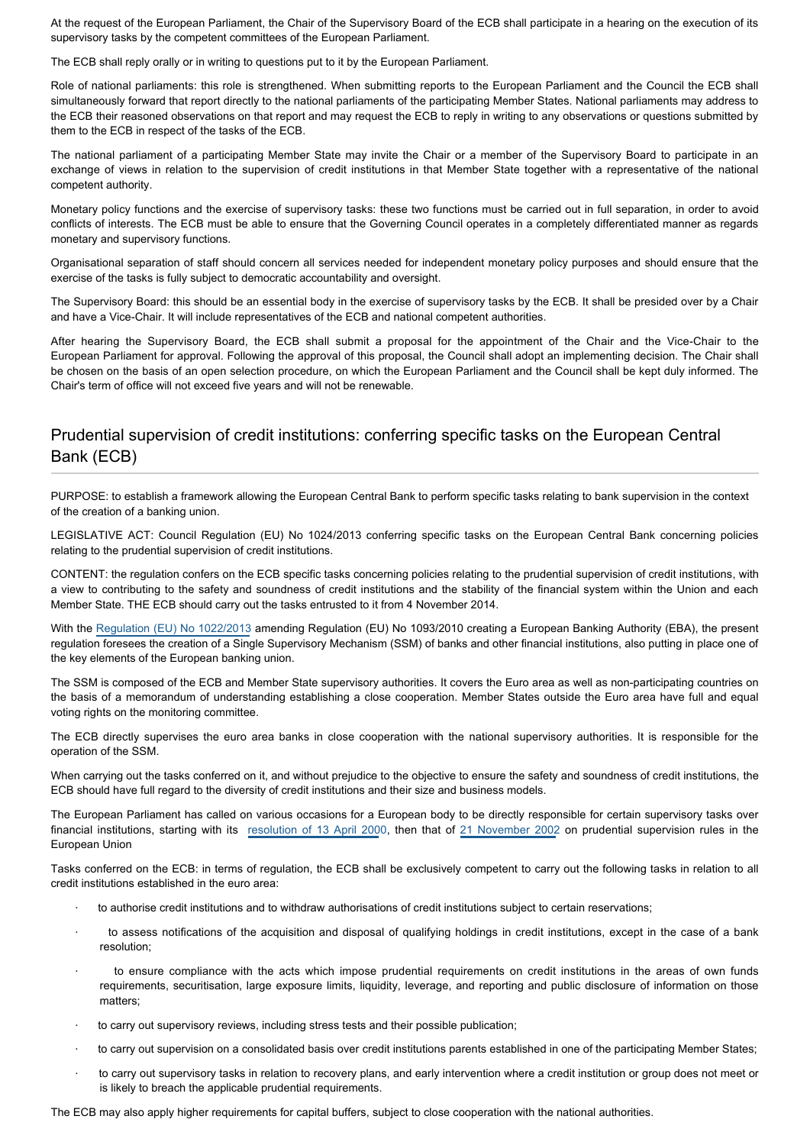At the request of the European Parliament, the Chair of the Supervisory Board of the ECB shall participate in a hearing on the execution of its supervisory tasks by the competent committees of the European Parliament.

The ECB shall reply orally or in writing to questions put to it by the European Parliament.

Role of national parliaments: this role is strengthened. When submitting reports to the European Parliament and the Council the ECB shall simultaneously forward that report directly to the national parliaments of the participating Member States. National parliaments may address to the ECB their reasoned observations on that report and may request the ECB to reply in writing to any observations or questions submitted by them to the ECB in respect of the tasks of the ECB.

The national parliament of a participating Member State may invite the Chair or a member of the Supervisory Board to participate in an exchange of views in relation to the supervision of credit institutions in that Member State together with a representative of the national competent authority.

Monetary policy functions and the exercise of supervisory tasks: these two functions must be carried out in full separation, in order to avoid conflicts of interests. The ECB must be able to ensure that the Governing Council operates in a completely differentiated manner as regards monetary and supervisory functions.

Organisational separation of staff should concern all services needed for independent monetary policy purposes and should ensure that the exercise of the tasks is fully subject to democratic accountability and oversight.

The Supervisory Board: this should be an essential body in the exercise of supervisory tasks by the ECB. It shall be presided over by a Chair and have a Vice-Chair. It will include representatives of the ECB and national competent authorities.

After hearing the Supervisory Board, the ECB shall submit a proposal for the appointment of the Chair and the Vice-Chair to the European Parliament for approval. Following the approval of this proposal, the Council shall adopt an implementing decision. The Chair shall be chosen on the basis of an open selection procedure, on which the European Parliament and the Council shall be kept duly informed. The Chair's term of office will not exceed five years and will not be renewable.

#### Prudential supervision of credit institutions: conferring specific tasks on the European Central Bank (ECB)

PURPOSE: to establish a framework allowing the European Central Bank to perform specific tasks relating to bank supervision in the context of the creation of a banking union.

LEGISLATIVE ACT: Council Regulation (EU) No 1024/2013 conferring specific tasks on the European Central Bank concerning policies relating to the prudential supervision of credit institutions.

CONTENT: the regulation confers on the ECB specific tasks concerning policies relating to the prudential supervision of credit institutions, with a view to contributing to the safety and soundness of credit institutions and the stability of the financial system within the Union and each Member State. THE ECB should carry out the tasks entrusted to it from 4 November 2014.

With the [Regulation \(EU\) No 1022/2013](http://www.europarl.europa.eu/oeil/popups/ficheprocedure.do?reference=2012/0244(COD)&l=en) amending Regulation (EU) No 1093/2010 creating a European Banking Authority (EBA), the present regulation foresees the creation of a Single Supervisory Mechanism (SSM) of banks and other financial institutions, also putting in place one of the key elements of the European banking union.

The SSM is composed of the ECB and Member State supervisory authorities. It covers the Euro area as well as non-participating countries on the basis of a memorandum of understanding establishing a close cooperation. Member States outside the Euro area have full and equal voting rights on the monitoring committee.

The ECB directly supervises the euro area banks in close cooperation with the national supervisory authorities. It is responsible for the operation of the SSM.

When carrying out the tasks conferred on it, and without prejudice to the objective to ensure the safety and soundness of credit institutions, the ECB should have full regard to the diversity of credit institutions and their size and business models.

The European Parliament has called on various occasions for a European body to be directly responsible for certain supervisory tasks over financial institutions, starting with its [resolution of 13 April 200](http://www.europarl.europa.eu/oeil/popups/ficheprocedure.do?reference=1999/2117(COS)&l=en)0, then that of [21 November 2002](http://www.europarl.europa.eu/oeil/popups/ficheprocedure.do?reference=2002/2061(INI)&l=en) on prudential supervision rules in the European Union

Tasks conferred on the ECB: in terms of regulation, the ECB shall be exclusively competent to carry out the following tasks in relation to all credit institutions established in the euro area:

- to authorise credit institutions and to withdraw authorisations of credit institutions subject to certain reservations;
- · to assess notifications of the acquisition and disposal of qualifying holdings in credit institutions, except in the case of a bank resolution;
- to ensure compliance with the acts which impose prudential requirements on credit institutions in the areas of own funds requirements, securitisation, large exposure limits, liquidity, leverage, and reporting and public disclosure of information on those matters;
- to carry out supervisory reviews, including stress tests and their possible publication;
- · to carry out supervision on a consolidated basis over credit institutions parents established in one of the participating Member States;
- · to carry out supervisory tasks in relation to recovery plans, and early intervention where a credit institution or group does not meet or is likely to breach the applicable prudential requirements.

The ECB may also apply higher requirements for capital buffers, subject to close cooperation with the national authorities.